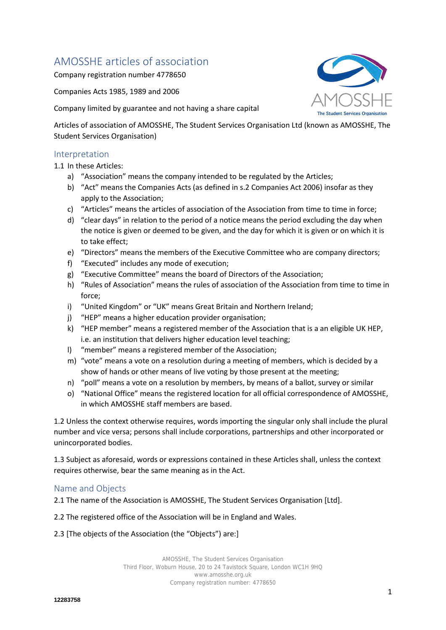# AMOSSHE articles of association

Company registration number 4778650

Companies Acts 1985, 1989 and 2006

Company limited by guarantee and not having a share capital

Articles of association of AMOSSHE, The Student Services Organisation Ltd (known as AMOSSHE, The Student Services Organisation)

### Interpretation

1.1 In these Articles:

- a) "Association" means the company intended to be regulated by the Articles;
- b) "Act" means the Companies Acts (as defined in s.2 Companies Act 2006) insofar as they apply to the Association;
- c) "Articles" means the articles of association of the Association from time to time in force;
- d) "clear days" in relation to the period of a notice means the period excluding the day when the notice is given or deemed to be given, and the day for which it is given or on which it is to take effect;
- e) "Directors" means the members of the Executive Committee who are company directors;
- f) "Executed" includes any mode of execution;
- g) "Executive Committee" means the board of Directors of the Association;
- h) "Rules of Association" means the rules of association of the Association from time to time in force;
- i) "United Kingdom" or "UK" means Great Britain and Northern Ireland;
- j) "HEP" means a higher education provider organisation;
- k) "HEP member" means a registered member of the Association that is a an eligible UK HEP, i.e. an institution that delivers higher education level teaching;
- l) "member" means a registered member of the Association;
- m) "vote" means a vote on a resolution during a meeting of members, which is decided by a show of hands or other means of live voting by those present at the meeting;
- n) "poll" means a vote on a resolution by members, by means of a ballot, survey or similar
- o) "National Office" means the registered location for all official correspondence of AMOSSHE, in which AMOSSHE staff members are based.

1.2 Unless the context otherwise requires, words importing the singular only shall include the plural number and vice versa; persons shall include corporations, partnerships and other incorporated or unincorporated bodies.

1.3 Subject as aforesaid, words or expressions contained in these Articles shall, unless the context requires otherwise, bear the same meaning as in the Act.

# Name and Objects

2.1 The name of the Association is AMOSSHE, The Student Services Organisation [Ltd].

2.2 The registered office of the Association will be in England and Wales.

2.3 [The objects of the Association (the "Objects") are:]

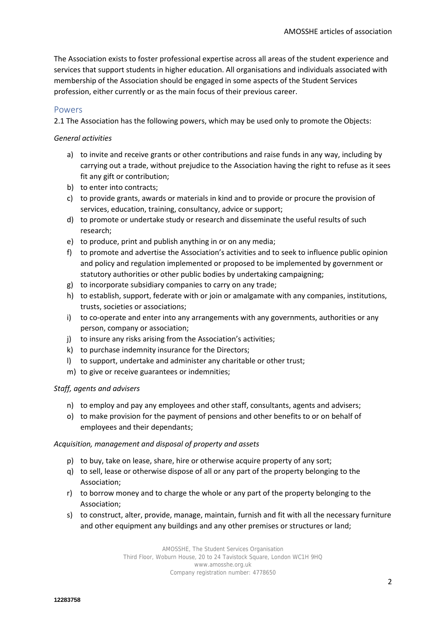The Association exists to foster professional expertise across all areas of the student experience and services that support students in higher education. All organisations and individuals associated with membership of the Association should be engaged in some aspects of the Student Services profession, either currently or as the main focus of their previous career.

#### Powers

2.1 The Association has the following powers, which may be used only to promote the Objects:

#### *General activities*

- a) to invite and receive grants or other contributions and raise funds in any way, including by carrying out a trade, without prejudice to the Association having the right to refuse as it sees fit any gift or contribution;
- b) to enter into contracts;
- c) to provide grants, awards or materials in kind and to provide or procure the provision of services, education, training, consultancy, advice or support;
- d) to promote or undertake study or research and disseminate the useful results of such research;
- e) to produce, print and publish anything in or on any media;
- f) to promote and advertise the Association's activities and to seek to influence public opinion and policy and regulation implemented or proposed to be implemented by government or statutory authorities or other public bodies by undertaking campaigning;
- g) to incorporate subsidiary companies to carry on any trade;
- h) to establish, support, federate with or join or amalgamate with any companies, institutions, trusts, societies or associations;
- i) to co-operate and enter into any arrangements with any governments, authorities or any person, company or association;
- j) to insure any risks arising from the Association's activities;
- k) to purchase indemnity insurance for the Directors;
- l) to support, undertake and administer any charitable or other trust;
- m) to give or receive guarantees or indemnities;

#### *Staff, agents and advisers*

- n) to employ and pay any employees and other staff, consultants, agents and advisers;
- o) to make provision for the payment of pensions and other benefits to or on behalf of employees and their dependants;

#### *Acquisition, management and disposal of property and assets*

- p) to buy, take on lease, share, hire or otherwise acquire property of any sort;
- q) to sell, lease or otherwise dispose of all or any part of the property belonging to the Association;
- r) to borrow money and to charge the whole or any part of the property belonging to the Association;
- s) to construct, alter, provide, manage, maintain, furnish and fit with all the necessary furniture and other equipment any buildings and any other premises or structures or land;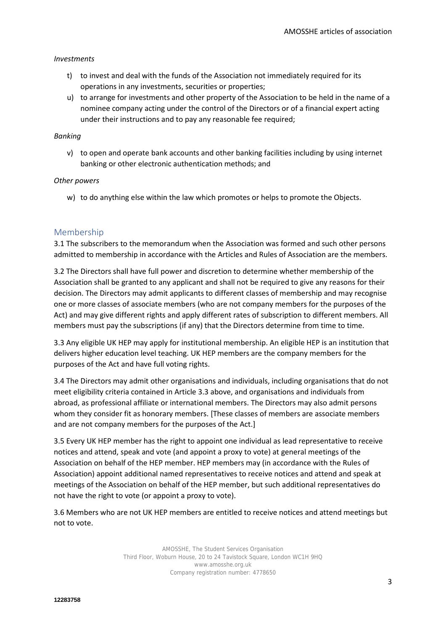#### *Investments*

- t) to invest and deal with the funds of the Association not immediately required for its operations in any investments, securities or properties;
- u) to arrange for investments and other property of the Association to be held in the name of a nominee company acting under the control of the Directors or of a financial expert acting under their instructions and to pay any reasonable fee required;

### *Banking*

v) to open and operate bank accounts and other banking facilities including by using internet banking or other electronic authentication methods; and

#### *Other powers*

w) to do anything else within the law which promotes or helps to promote the Objects.

# Membership

3.1 The subscribers to the memorandum when the Association was formed and such other persons admitted to membership in accordance with the Articles and Rules of Association are the members.

3.2 The Directors shall have full power and discretion to determine whether membership of the Association shall be granted to any applicant and shall not be required to give any reasons for their decision. The Directors may admit applicants to different classes of membership and may recognise one or more classes of associate members (who are not company members for the purposes of the Act) and may give different rights and apply different rates of subscription to different members. All members must pay the subscriptions (if any) that the Directors determine from time to time.

3.3 Any eligible UK HEP may apply for institutional membership. An eligible HEP is an institution that delivers higher education level teaching. UK HEP members are the company members for the purposes of the Act and have full voting rights.

3.4 The Directors may admit other organisations and individuals, including organisations that do not meet eligibility criteria contained in Article 3.3 above, and organisations and individuals from abroad, as professional affiliate or international members. The Directors may also admit persons whom they consider fit as honorary members. [These classes of members are associate members and are not company members for the purposes of the Act.]

3.5 Every UK HEP member has the right to appoint one individual as lead representative to receive notices and attend, speak and vote (and appoint a proxy to vote) at general meetings of the Association on behalf of the HEP member. HEP members may (in accordance with the Rules of Association) appoint additional named representatives to receive notices and attend and speak at meetings of the Association on behalf of the HEP member, but such additional representatives do not have the right to vote (or appoint a proxy to vote).

3.6 Members who are not UK HEP members are entitled to receive notices and attend meetings but not to vote.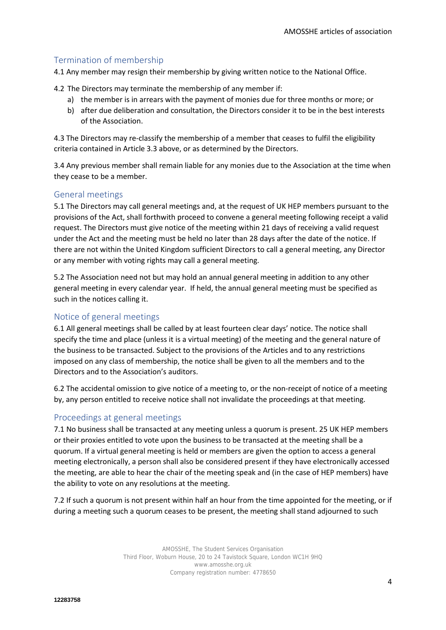# Termination of membership

4.1 Any member may resign their membership by giving written notice to the National Office.

4.2 The Directors may terminate the membership of any member if:

- a) the member is in arrears with the payment of monies due for three months or more; or
- b) after due deliberation and consultation, the Directors consider it to be in the best interests of the Association.

4.3 The Directors may re-classify the membership of a member that ceases to fulfil the eligibility criteria contained in Article 3.3 above, or as determined by the Directors.

3.4 Any previous member shall remain liable for any monies due to the Association at the time when they cease to be a member.

# General meetings

5.1 The Directors may call general meetings and, at the request of UK HEP members pursuant to the provisions of the Act, shall forthwith proceed to convene a general meeting following receipt a valid request. The Directors must give notice of the meeting within 21 days of receiving a valid request under the Act and the meeting must be held no later than 28 days after the date of the notice. If there are not within the United Kingdom sufficient Directors to call a general meeting, any Director or any member with voting rights may call a general meeting.

5.2 The Association need not but may hold an annual general meeting in addition to any other general meeting in every calendar year. If held, the annual general meeting must be specified as such in the notices calling it.

# Notice of general meetings

6.1 All general meetings shall be called by at least fourteen clear days' notice. The notice shall specify the time and place (unless it is a virtual meeting) of the meeting and the general nature of the business to be transacted. Subject to the provisions of the Articles and to any restrictions imposed on any class of membership, the notice shall be given to all the members and to the Directors and to the Association's auditors.

6.2 The accidental omission to give notice of a meeting to, or the non-receipt of notice of a meeting by, any person entitled to receive notice shall not invalidate the proceedings at that meeting.

# Proceedings at general meetings

7.1 No business shall be transacted at any meeting unless a quorum is present. 25 UK HEP members or their proxies entitled to vote upon the business to be transacted at the meeting shall be a quorum. If a virtual general meeting is held or members are given the option to access a general meeting electronically, a person shall also be considered present if they have electronically accessed the meeting, are able to hear the chair of the meeting speak and (in the case of HEP members) have the ability to vote on any resolutions at the meeting.

7.2 If such a quorum is not present within half an hour from the time appointed for the meeting, or if during a meeting such a quorum ceases to be present, the meeting shall stand adjourned to such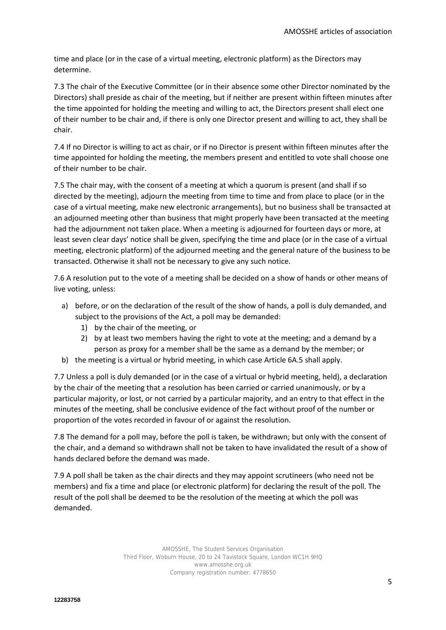time and place (or in the case of a virtual meeting, electronic platform) as the Directors may determine.

7.3 The chair of the Executive Committee (or in their absence some other Director nominated by the Directors) shall preside as chair of the meeting, but if neither are present within fifteen minutes after the time appointed for holding the meeting and willing to act, the Directors present shall elect one of their number to be chair and, if there is only one Director present and willing to act, they shall be chair.

7.4 If no Director is willing to act as chair, or if no Director is present within fifteen minutes after the time appointed for holding the meeting, the members present and entitled to vote shall choose one of their number to be chair.

7.5 The chair may, with the consent of a meeting at which a quorum is present (and shall if so directed by the meeting), adjourn the meeting from time to time and from place to place (or in the case of a virtual meeting, make new electronic arrangements), but no business shall be transacted at an adjourned meeting other than business that might properly have been transacted at the meeting had the adjournment not taken place. When a meeting is adjourned for fourteen days or more, at least seven clear days' notice shall be given, specifying the time and place (or in the case of a virtual meeting, electronic platform) of the adjourned meeting and the general nature of the business to be transacted. Otherwise it shall not be necessary to give any such notice.

7.6 A resolution put to the vote of a meeting shall be decided on a show of hands or other means of live voting, unless:

- a) before, or on the declaration of the result of the show of hands, a poll is duly demanded, and subject to the provisions of the Act, a poll may be demanded:
	- 1) by the chair of the meeting, or
	- 2) by at least two members having the right to vote at the meeting; and a demand by a person as proxy for a member shall be the same as a demand by the member; or
- b) the meeting is a virtual or hybrid meeting, in which case Article 6A.5 shall apply.

7.7 Unless a poll is duly demanded (or in the case of a virtual or hybrid meeting, held), a declaration by the chair of the meeting that a resolution has been carried or carried unanimously, or by a particular majority, or lost, or not carried by a particular majority, and an entry to that effect in the minutes of the meeting, shall be conclusive evidence of the fact without proof of the number or proportion of the votes recorded in favour of or against the resolution.

7.8 The demand for a poll may, before the poll is taken, be withdrawn; but only with the consent of the chair, and a demand so withdrawn shall not be taken to have invalidated the result of a show of hands declared before the demand was made.

7.9 A poll shall be taken as the chair directs and they may appoint scrutineers (who need not be members) and fix a time and place (or electronic platform) for declaring the result of the poll. The result of the poll shall be deemed to be the resolution of the meeting at which the poll was demanded.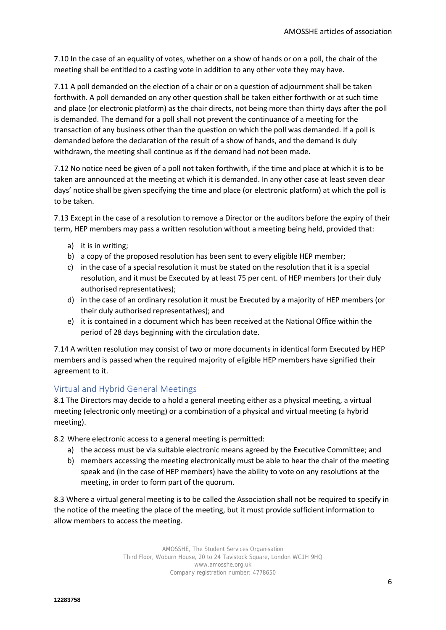7.10 In the case of an equality of votes, whether on a show of hands or on a poll, the chair of the meeting shall be entitled to a casting vote in addition to any other vote they may have.

7.11 A poll demanded on the election of a chair or on a question of adjournment shall be taken forthwith. A poll demanded on any other question shall be taken either forthwith or at such time and place (or electronic platform) as the chair directs, not being more than thirty days after the poll is demanded. The demand for a poll shall not prevent the continuance of a meeting for the transaction of any business other than the question on which the poll was demanded. If a poll is demanded before the declaration of the result of a show of hands, and the demand is duly withdrawn, the meeting shall continue as if the demand had not been made.

7.12 No notice need be given of a poll not taken forthwith, if the time and place at which it is to be taken are announced at the meeting at which it is demanded. In any other case at least seven clear days' notice shall be given specifying the time and place (or electronic platform) at which the poll is to be taken.

7.13 Except in the case of a resolution to remove a Director or the auditors before the expiry of their term, HEP members may pass a written resolution without a meeting being held, provided that:

- a) it is in writing;
- b) a copy of the proposed resolution has been sent to every eligible HEP member;
- c) in the case of a special resolution it must be stated on the resolution that it is a special resolution, and it must be Executed by at least 75 per cent. of HEP members (or their duly authorised representatives);
- d) in the case of an ordinary resolution it must be Executed by a majority of HEP members (or their duly authorised representatives); and
- e) it is contained in a document which has been received at the National Office within the period of 28 days beginning with the circulation date.

7.14 A written resolution may consist of two or more documents in identical form Executed by HEP members and is passed when the required majority of eligible HEP members have signified their agreement to it.

# Virtual and Hybrid General Meetings

8.1 The Directors may decide to a hold a general meeting either as a physical meeting, a virtual meeting (electronic only meeting) or a combination of a physical and virtual meeting (a hybrid meeting).

8.2 Where electronic access to a general meeting is permitted:

- a) the access must be via suitable electronic means agreed by the Executive Committee; and
- b) members accessing the meeting electronically must be able to hear the chair of the meeting speak and (in the case of HEP members) have the ability to vote on any resolutions at the meeting, in order to form part of the quorum.

8.3 Where a virtual general meeting is to be called the Association shall not be required to specify in the notice of the meeting the place of the meeting, but it must provide sufficient information to allow members to access the meeting.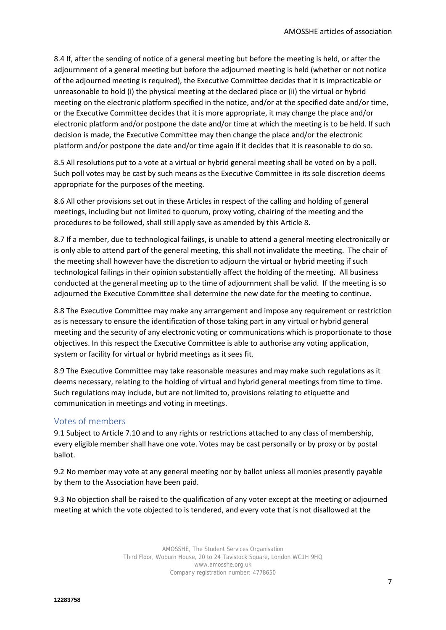8.4 If, after the sending of notice of a general meeting but before the meeting is held, or after the adjournment of a general meeting but before the adjourned meeting is held (whether or not notice of the adjourned meeting is required), the Executive Committee decides that it is impracticable or unreasonable to hold (i) the physical meeting at the declared place or (ii) the virtual or hybrid meeting on the electronic platform specified in the notice, and/or at the specified date and/or time, or the Executive Committee decides that it is more appropriate, it may change the place and/or electronic platform and/or postpone the date and/or time at which the meeting is to be held. If such decision is made, the Executive Committee may then change the place and/or the electronic platform and/or postpone the date and/or time again if it decides that it is reasonable to do so.

8.5 All resolutions put to a vote at a virtual or hybrid general meeting shall be voted on by a poll. Such poll votes may be cast by such means as the Executive Committee in its sole discretion deems appropriate for the purposes of the meeting.

8.6 All other provisions set out in these Articles in respect of the calling and holding of general meetings, including but not limited to quorum, proxy voting, chairing of the meeting and the procedures to be followed, shall still apply save as amended by this Article 8.

8.7 If a member, due to technological failings, is unable to attend a general meeting electronically or is only able to attend part of the general meeting, this shall not invalidate the meeting. The chair of the meeting shall however have the discretion to adjourn the virtual or hybrid meeting if such technological failings in their opinion substantially affect the holding of the meeting. All business conducted at the general meeting up to the time of adjournment shall be valid. If the meeting is so adjourned the Executive Committee shall determine the new date for the meeting to continue.

8.8 The Executive Committee may make any arrangement and impose any requirement or restriction as is necessary to ensure the identification of those taking part in any virtual or hybrid general meeting and the security of any electronic voting or communications which is proportionate to those objectives. In this respect the Executive Committee is able to authorise any voting application, system or facility for virtual or hybrid meetings as it sees fit.

8.9 The Executive Committee may take reasonable measures and may make such regulations as it deems necessary, relating to the holding of virtual and hybrid general meetings from time to time. Such regulations may include, but are not limited to, provisions relating to etiquette and communication in meetings and voting in meetings.

# Votes of members

9.1 Subject to Article 7.10 and to any rights or restrictions attached to any class of membership, every eligible member shall have one vote. Votes may be cast personally or by proxy or by postal ballot.

9.2 No member may vote at any general meeting nor by ballot unless all monies presently payable by them to the Association have been paid.

9.3 No objection shall be raised to the qualification of any voter except at the meeting or adjourned meeting at which the vote objected to is tendered, and every vote that is not disallowed at the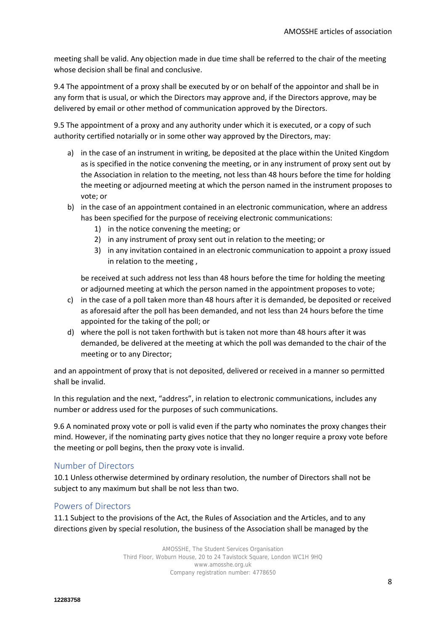meeting shall be valid. Any objection made in due time shall be referred to the chair of the meeting whose decision shall be final and conclusive.

9.4 The appointment of a proxy shall be executed by or on behalf of the appointor and shall be in any form that is usual, or which the Directors may approve and, if the Directors approve, may be delivered by email or other method of communication approved by the Directors.

9.5 The appointment of a proxy and any authority under which it is executed, or a copy of such authority certified notarially or in some other way approved by the Directors, may:

- a) in the case of an instrument in writing, be deposited at the place within the United Kingdom as is specified in the notice convening the meeting, or in any instrument of proxy sent out by the Association in relation to the meeting, not less than 48 hours before the time for holding the meeting or adjourned meeting at which the person named in the instrument proposes to vote; or
- b) in the case of an appointment contained in an electronic communication, where an address has been specified for the purpose of receiving electronic communications:
	- 1) in the notice convening the meeting; or
	- 2) in any instrument of proxy sent out in relation to the meeting; or
	- 3) in any invitation contained in an electronic communication to appoint a proxy issued in relation to the meeting ,

be received at such address not less than 48 hours before the time for holding the meeting or adjourned meeting at which the person named in the appointment proposes to vote;

- c) in the case of a poll taken more than 48 hours after it is demanded, be deposited or received as aforesaid after the poll has been demanded, and not less than 24 hours before the time appointed for the taking of the poll; or
- d) where the poll is not taken forthwith but is taken not more than 48 hours after it was demanded, be delivered at the meeting at which the poll was demanded to the chair of the meeting or to any Director;

and an appointment of proxy that is not deposited, delivered or received in a manner so permitted shall be invalid.

In this regulation and the next, "address", in relation to electronic communications, includes any number or address used for the purposes of such communications.

9.6 A nominated proxy vote or poll is valid even if the party who nominates the proxy changes their mind. However, if the nominating party gives notice that they no longer require a proxy vote before the meeting or poll begins, then the proxy vote is invalid.

# Number of Directors

10.1 Unless otherwise determined by ordinary resolution, the number of Directors shall not be subject to any maximum but shall be not less than two.

#### Powers of Directors

11.1 Subject to the provisions of the Act, the Rules of Association and the Articles, and to any directions given by special resolution, the business of the Association shall be managed by the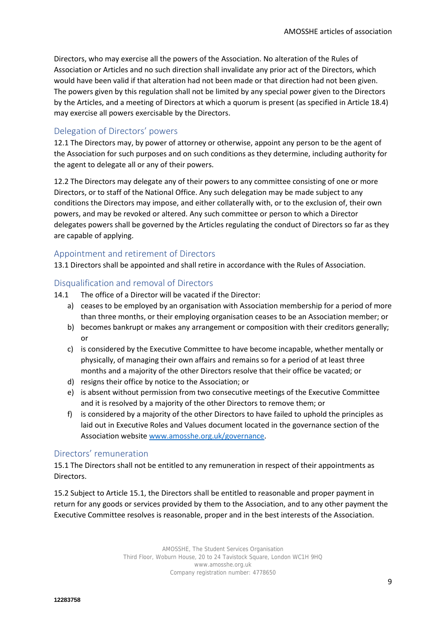Directors, who may exercise all the powers of the Association. No alteration of the Rules of Association or Articles and no such direction shall invalidate any prior act of the Directors, which would have been valid if that alteration had not been made or that direction had not been given. The powers given by this regulation shall not be limited by any special power given to the Directors by the Articles, and a meeting of Directors at which a quorum is present (as specified in Article 18.4) may exercise all powers exercisable by the Directors.

# Delegation of Directors' powers

12.1 The Directors may, by power of attorney or otherwise, appoint any person to be the agent of the Association for such purposes and on such conditions as they determine, including authority for the agent to delegate all or any of their powers.

12.2 The Directors may delegate any of their powers to any committee consisting of one or more Directors, or to staff of the National Office. Any such delegation may be made subject to any conditions the Directors may impose, and either collaterally with, or to the exclusion of, their own powers, and may be revoked or altered. Any such committee or person to which a Director delegates powers shall be governed by the Articles regulating the conduct of Directors so far as they are capable of applying.

# Appointment and retirement of Directors

13.1 Directors shall be appointed and shall retire in accordance with the Rules of Association.

# Disqualification and removal of Directors

- 14.1 The office of a Director will be vacated if the Director:
	- a) ceases to be employed by an organisation with Association membership for a period of more than three months, or their employing organisation ceases to be an Association member; or
	- b) becomes bankrupt or makes any arrangement or composition with their creditors generally; or
	- c) is considered by the Executive Committee to have become incapable, whether mentally or physically, of managing their own affairs and remains so for a period of at least three months and a majority of the other Directors resolve that their office be vacated; or
	- d) resigns their office by notice to the Association; or
	- e) is absent without permission from two consecutive meetings of the Executive Committee and it is resolved by a majority of the other Directors to remove them; or
	- f) is considered by a majority of the other Directors to have failed to uphold the principles as laid out in Executive Roles and Values document located in the governance section of the Association website [www.amosshe.org.uk/governance.](http://www.amosshe.org.uk/governance)

# Directors' remuneration

15.1 The Directors shall not be entitled to any remuneration in respect of their appointments as Directors.

15.2 Subject to Article 15.1, the Directors shall be entitled to reasonable and proper payment in return for any goods or services provided by them to the Association, and to any other payment the Executive Committee resolves is reasonable, proper and in the best interests of the Association.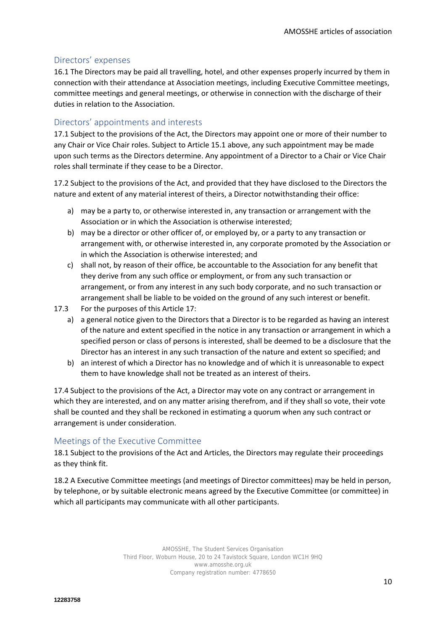# Directors' expenses

16.1 The Directors may be paid all travelling, hotel, and other expenses properly incurred by them in connection with their attendance at Association meetings, including Executive Committee meetings, committee meetings and general meetings, or otherwise in connection with the discharge of their duties in relation to the Association.

# Directors' appointments and interests

17.1 Subject to the provisions of the Act, the Directors may appoint one or more of their number to any Chair or Vice Chair roles. Subject to Article 15.1 above, any such appointment may be made upon such terms as the Directors determine. Any appointment of a Director to a Chair or Vice Chair roles shall terminate if they cease to be a Director.

17.2 Subject to the provisions of the Act, and provided that they have disclosed to the Directors the nature and extent of any material interest of theirs, a Director notwithstanding their office:

- a) may be a party to, or otherwise interested in, any transaction or arrangement with the Association or in which the Association is otherwise interested;
- b) may be a director or other officer of, or employed by, or a party to any transaction or arrangement with, or otherwise interested in, any corporate promoted by the Association or in which the Association is otherwise interested; and
- c) shall not, by reason of their office, be accountable to the Association for any benefit that they derive from any such office or employment, or from any such transaction or arrangement, or from any interest in any such body corporate, and no such transaction or arrangement shall be liable to be voided on the ground of any such interest or benefit.
- 17.3 For the purposes of this Article 17:
	- a) a general notice given to the Directors that a Director is to be regarded as having an interest of the nature and extent specified in the notice in any transaction or arrangement in which a specified person or class of persons is interested, shall be deemed to be a disclosure that the Director has an interest in any such transaction of the nature and extent so specified; and
	- b) an interest of which a Director has no knowledge and of which it is unreasonable to expect them to have knowledge shall not be treated as an interest of theirs.

17.4 Subject to the provisions of the Act, a Director may vote on any contract or arrangement in which they are interested, and on any matter arising therefrom, and if they shall so vote, their vote shall be counted and they shall be reckoned in estimating a quorum when any such contract or arrangement is under consideration.

# Meetings of the Executive Committee

18.1 Subject to the provisions of the Act and Articles, the Directors may regulate their proceedings as they think fit.

18.2 A Executive Committee meetings (and meetings of Director committees) may be held in person, by telephone, or by suitable electronic means agreed by the Executive Committee (or committee) in which all participants may communicate with all other participants.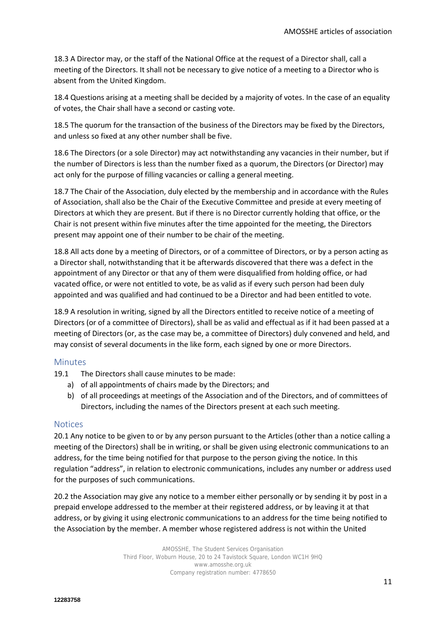18.3 A Director may, or the staff of the National Office at the request of a Director shall, call a meeting of the Directors. It shall not be necessary to give notice of a meeting to a Director who is absent from the United Kingdom.

18.4 Questions arising at a meeting shall be decided by a majority of votes. In the case of an equality of votes, the Chair shall have a second or casting vote.

18.5 The quorum for the transaction of the business of the Directors may be fixed by the Directors, and unless so fixed at any other number shall be five.

18.6 The Directors (or a sole Director) may act notwithstanding any vacancies in their number, but if the number of Directors is less than the number fixed as a quorum, the Directors (or Director) may act only for the purpose of filling vacancies or calling a general meeting.

18.7 The Chair of the Association, duly elected by the membership and in accordance with the Rules of Association, shall also be the Chair of the Executive Committee and preside at every meeting of Directors at which they are present. But if there is no Director currently holding that office, or the Chair is not present within five minutes after the time appointed for the meeting, the Directors present may appoint one of their number to be chair of the meeting.

18.8 All acts done by a meeting of Directors, or of a committee of Directors, or by a person acting as a Director shall, notwithstanding that it be afterwards discovered that there was a defect in the appointment of any Director or that any of them were disqualified from holding office, or had vacated office, or were not entitled to vote, be as valid as if every such person had been duly appointed and was qualified and had continued to be a Director and had been entitled to vote.

18.9 A resolution in writing, signed by all the Directors entitled to receive notice of a meeting of Directors (or of a committee of Directors), shall be as valid and effectual as if it had been passed at a meeting of Directors (or, as the case may be, a committee of Directors) duly convened and held, and may consist of several documents in the like form, each signed by one or more Directors.

#### Minutes

19.1 The Directors shall cause minutes to be made:

- a) of all appointments of chairs made by the Directors; and
- b) of all proceedings at meetings of the Association and of the Directors, and of committees of Directors, including the names of the Directors present at each such meeting.

#### **Notices**

20.1 Any notice to be given to or by any person pursuant to the Articles (other than a notice calling a meeting of the Directors) shall be in writing, or shall be given using electronic communications to an address, for the time being notified for that purpose to the person giving the notice. In this regulation "address", in relation to electronic communications, includes any number or address used for the purposes of such communications.

20.2 the Association may give any notice to a member either personally or by sending it by post in a prepaid envelope addressed to the member at their registered address, or by leaving it at that address, or by giving it using electronic communications to an address for the time being notified to the Association by the member. A member whose registered address is not within the United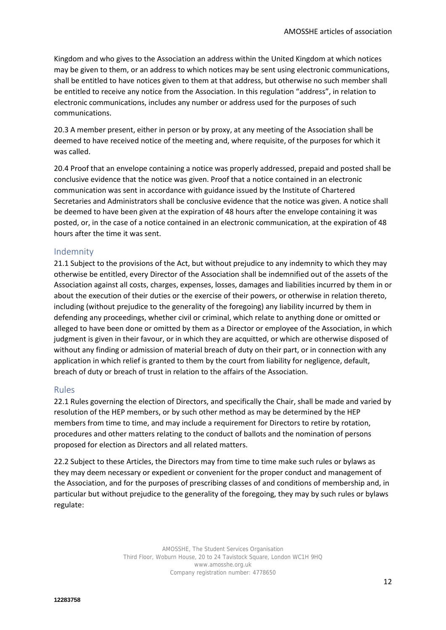Kingdom and who gives to the Association an address within the United Kingdom at which notices may be given to them, or an address to which notices may be sent using electronic communications, shall be entitled to have notices given to them at that address, but otherwise no such member shall be entitled to receive any notice from the Association. In this regulation "address", in relation to electronic communications, includes any number or address used for the purposes of such communications.

20.3 A member present, either in person or by proxy, at any meeting of the Association shall be deemed to have received notice of the meeting and, where requisite, of the purposes for which it was called.

20.4 Proof that an envelope containing a notice was properly addressed, prepaid and posted shall be conclusive evidence that the notice was given. Proof that a notice contained in an electronic communication was sent in accordance with guidance issued by the Institute of Chartered Secretaries and Administrators shall be conclusive evidence that the notice was given. A notice shall be deemed to have been given at the expiration of 48 hours after the envelope containing it was posted, or, in the case of a notice contained in an electronic communication, at the expiration of 48 hours after the time it was sent.

# Indemnity

21.1 Subject to the provisions of the Act, but without prejudice to any indemnity to which they may otherwise be entitled, every Director of the Association shall be indemnified out of the assets of the Association against all costs, charges, expenses, losses, damages and liabilities incurred by them in or about the execution of their duties or the exercise of their powers, or otherwise in relation thereto, including (without prejudice to the generality of the foregoing) any liability incurred by them in defending any proceedings, whether civil or criminal, which relate to anything done or omitted or alleged to have been done or omitted by them as a Director or employee of the Association, in which judgment is given in their favour, or in which they are acquitted, or which are otherwise disposed of without any finding or admission of material breach of duty on their part, or in connection with any application in which relief is granted to them by the court from liability for negligence, default, breach of duty or breach of trust in relation to the affairs of the Association.

# Rules

22.1 Rules governing the election of Directors, and specifically the Chair, shall be made and varied by resolution of the HEP members, or by such other method as may be determined by the HEP members from time to time, and may include a requirement for Directors to retire by rotation, procedures and other matters relating to the conduct of ballots and the nomination of persons proposed for election as Directors and all related matters.

22.2 Subject to these Articles, the Directors may from time to time make such rules or bylaws as they may deem necessary or expedient or convenient for the proper conduct and management of the Association, and for the purposes of prescribing classes of and conditions of membership and, in particular but without prejudice to the generality of the foregoing, they may by such rules or bylaws regulate: